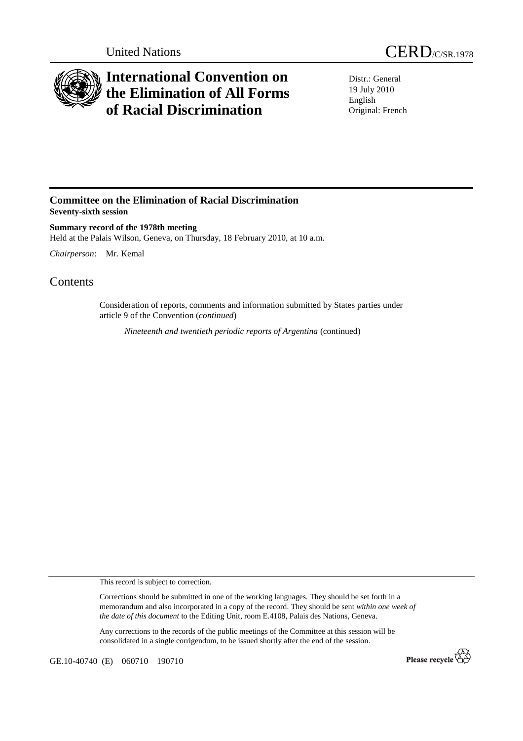



## **International Convention on the Elimination of All Forms of Racial Discrimination**

Distr.: General 19 July 2010 English Original: French

## **Committee on the Elimination of Racial Discrimination Seventy-sixth session**

**Summary record of the 1978th meeting**  Held at the Palais Wilson, Geneva, on Thursday, 18 February 2010, at 10 a.m.

*Chairperson*: Mr. Kemal

## **Contents**

Consideration of reports, comments and information submitted by States parties under article 9 of the Convention (*continued*)

*Nineteenth and twentieth periodic reports of Argentina* (continued)

This record is subject to correction.

Corrections should be submitted in one of the working languages. They should be set forth in a memorandum and also incorporated in a copy of the record. They should be sent *within one week of the date of this document* to the Editing Unit, room E.4108, Palais des Nations, Geneva.

Any corrections to the records of the public meetings of the Committee at this session will be consolidated in a single corrigendum, to be issued shortly after the end of the session.

GE.10-40740 (E) 060710 190710

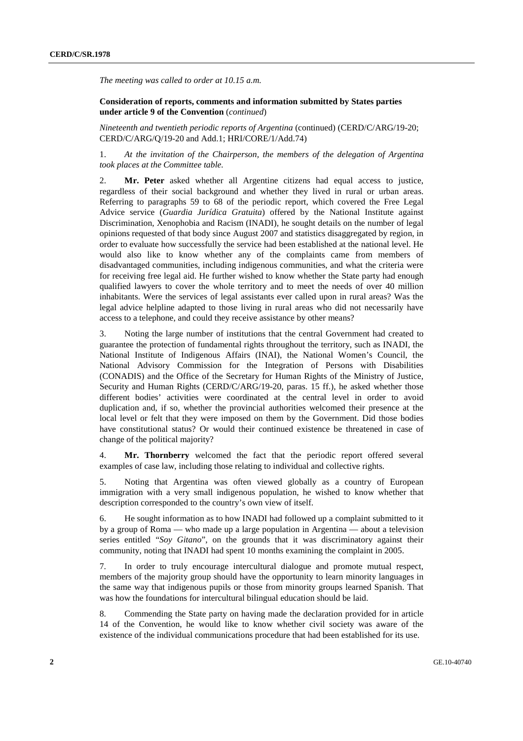*The meeting was called to order at 10.15 a.m.*

 **Consideration of reports, comments and information submitted by States parties under article 9 of the Convention** (*continued*)

*Nineteenth and twentieth periodic reports of Argentina* (continued) (CERD/C/ARG/19-20; CERD/C/ARG/Q/19-20 and Add.1; HRI/CORE/1/Add.74)

1. *At the invitation of the Chairperson, the members of the delegation of Argentina took places at the Committee table.*

2. **Mr. Peter** asked whether all Argentine citizens had equal access to justice, regardless of their social background and whether they lived in rural or urban areas. Referring to paragraphs 59 to 68 of the periodic report, which covered the Free Legal Advice service (*Guardia Jurídica Gratuita*) offered by the National Institute against Discrimination, Xenophobia and Racism (INADI), he sought details on the number of legal opinions requested of that body since August 2007 and statistics disaggregated by region, in order to evaluate how successfully the service had been established at the national level. He would also like to know whether any of the complaints came from members of disadvantaged communities, including indigenous communities, and what the criteria were for receiving free legal aid. He further wished to know whether the State party had enough qualified lawyers to cover the whole territory and to meet the needs of over 40 million inhabitants. Were the services of legal assistants ever called upon in rural areas? Was the legal advice helpline adapted to those living in rural areas who did not necessarily have access to a telephone, and could they receive assistance by other means?

3. Noting the large number of institutions that the central Government had created to guarantee the protection of fundamental rights throughout the territory, such as INADI, the National Institute of Indigenous Affairs (INAI), the National Women's Council, the National Advisory Commission for the Integration of Persons with Disabilities (CONADIS) and the Office of the Secretary for Human Rights of the Ministry of Justice, Security and Human Rights (CERD/C/ARG/19-20, paras. 15 ff.), he asked whether those different bodies' activities were coordinated at the central level in order to avoid duplication and, if so, whether the provincial authorities welcomed their presence at the local level or felt that they were imposed on them by the Government. Did those bodies have constitutional status? Or would their continued existence be threatened in case of change of the political majority?

4. **Mr. Thornberry** welcomed the fact that the periodic report offered several examples of case law, including those relating to individual and collective rights.

5. Noting that Argentina was often viewed globally as a country of European immigration with a very small indigenous population, he wished to know whether that description corresponded to the country's own view of itself.

6. He sought information as to how INADI had followed up a complaint submitted to it by a group of Roma — who made up a large population in Argentina — about a television series entitled "*Soy Gitano*", on the grounds that it was discriminatory against their community, noting that INADI had spent 10 months examining the complaint in 2005.

7. In order to truly encourage intercultural dialogue and promote mutual respect, members of the majority group should have the opportunity to learn minority languages in the same way that indigenous pupils or those from minority groups learned Spanish. That was how the foundations for intercultural bilingual education should be laid.

8. Commending the State party on having made the declaration provided for in article 14 of the Convention, he would like to know whether civil society was aware of the existence of the individual communications procedure that had been established for its use.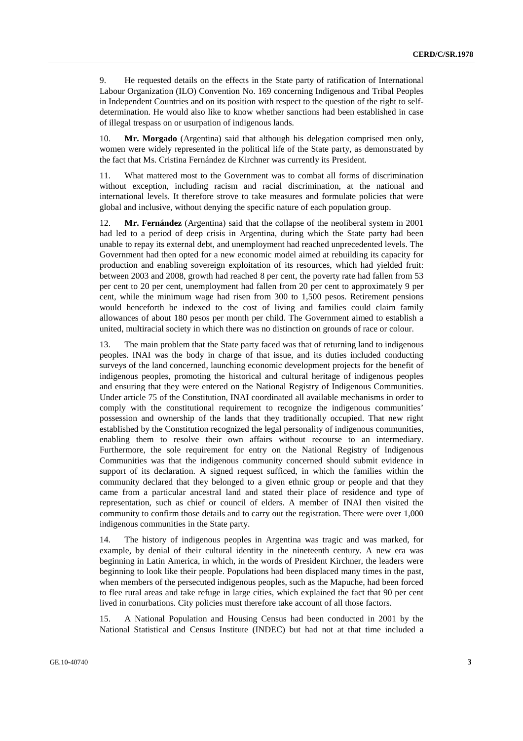9. He requested details on the effects in the State party of ratification of International Labour Organization (ILO) Convention No. 169 concerning Indigenous and Tribal Peoples in Independent Countries and on its position with respect to the question of the right to selfdetermination. He would also like to know whether sanctions had been established in case of illegal trespass on or usurpation of indigenous lands.

10. **Mr. Morgado** (Argentina) said that although his delegation comprised men only, women were widely represented in the political life of the State party, as demonstrated by the fact that Ms. Cristina Fernández de Kirchner was currently its President.

11. What mattered most to the Government was to combat all forms of discrimination without exception, including racism and racial discrimination, at the national and international levels. It therefore strove to take measures and formulate policies that were global and inclusive, without denying the specific nature of each population group.

12. **Mr. Fernández** (Argentina) said that the collapse of the neoliberal system in 2001 had led to a period of deep crisis in Argentina, during which the State party had been unable to repay its external debt, and unemployment had reached unprecedented levels. The Government had then opted for a new economic model aimed at rebuilding its capacity for production and enabling sovereign exploitation of its resources, which had yielded fruit: between 2003 and 2008, growth had reached 8 per cent, the poverty rate had fallen from 53 per cent to 20 per cent, unemployment had fallen from 20 per cent to approximately 9 per cent, while the minimum wage had risen from 300 to 1,500 pesos. Retirement pensions would henceforth be indexed to the cost of living and families could claim family allowances of about 180 pesos per month per child. The Government aimed to establish a united, multiracial society in which there was no distinction on grounds of race or colour.

13. The main problem that the State party faced was that of returning land to indigenous peoples. INAI was the body in charge of that issue, and its duties included conducting surveys of the land concerned, launching economic development projects for the benefit of indigenous peoples, promoting the historical and cultural heritage of indigenous peoples and ensuring that they were entered on the National Registry of Indigenous Communities. Under article 75 of the Constitution, INAI coordinated all available mechanisms in order to comply with the constitutional requirement to recognize the indigenous communities' possession and ownership of the lands that they traditionally occupied. That new right established by the Constitution recognized the legal personality of indigenous communities, enabling them to resolve their own affairs without recourse to an intermediary. Furthermore, the sole requirement for entry on the National Registry of Indigenous Communities was that the indigenous community concerned should submit evidence in support of its declaration. A signed request sufficed, in which the families within the community declared that they belonged to a given ethnic group or people and that they came from a particular ancestral land and stated their place of residence and type of representation, such as chief or council of elders. A member of INAI then visited the community to confirm those details and to carry out the registration. There were over 1,000 indigenous communities in the State party.

14. The history of indigenous peoples in Argentina was tragic and was marked, for example, by denial of their cultural identity in the nineteenth century. A new era was beginning in Latin America, in which, in the words of President Kirchner, the leaders were beginning to look like their people. Populations had been displaced many times in the past, when members of the persecuted indigenous peoples, such as the Mapuche, had been forced to flee rural areas and take refuge in large cities, which explained the fact that 90 per cent lived in conurbations. City policies must therefore take account of all those factors.

15. A National Population and Housing Census had been conducted in 2001 by the National Statistical and Census Institute (INDEC) but had not at that time included a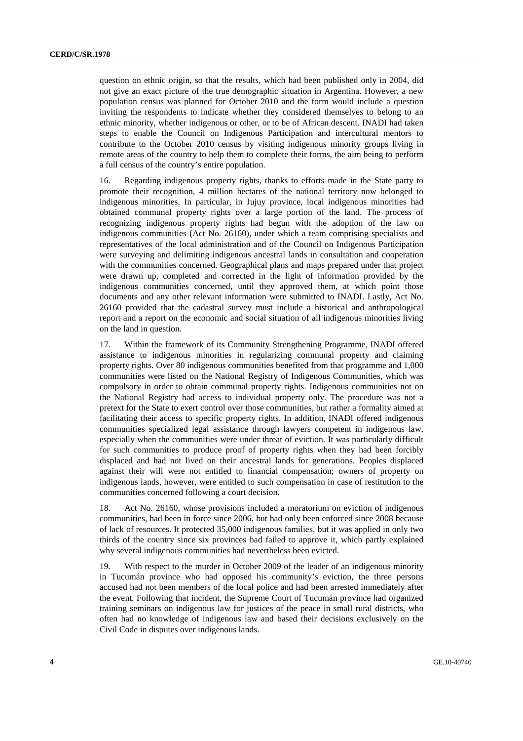question on ethnic origin, so that the results, which had been published only in 2004, did not give an exact picture of the true demographic situation in Argentina. However, a new population census was planned for October 2010 and the form would include a question inviting the respondents to indicate whether they considered themselves to belong to an ethnic minority, whether indigenous or other, or to be of African descent. INADI had taken steps to enable the Council on Indigenous Participation and intercultural mentors to contribute to the October 2010 census by visiting indigenous minority groups living in remote areas of the country to help them to complete their forms, the aim being to perform a full census of the country's entire population.

16. Regarding indigenous property rights, thanks to efforts made in the State party to promote their recognition, 4 million hectares of the national territory now belonged to indigenous minorities. In particular, in Jujuy province, local indigenous minorities had obtained communal property rights over a large portion of the land. The process of recognizing indigenous property rights had begun with the adoption of the law on indigenous communities (Act No. 26160), under which a team comprising specialists and representatives of the local administration and of the Council on Indigenous Participation were surveying and delimiting indigenous ancestral lands in consultation and cooperation with the communities concerned. Geographical plans and maps prepared under that project were drawn up, completed and corrected in the light of information provided by the indigenous communities concerned, until they approved them, at which point those documents and any other relevant information were submitted to INADI. Lastly, Act No. 26160 provided that the cadastral survey must include a historical and anthropological report and a report on the economic and social situation of all indigenous minorities living on the land in question.

17. Within the framework of its Community Strengthening Programme, INADI offered assistance to indigenous minorities in regularizing communal property and claiming property rights. Over 80 indigenous communities benefited from that programme and 1,000 communities were listed on the National Registry of Indigenous Communities, which was compulsory in order to obtain communal property rights. Indigenous communities not on the National Registry had access to individual property only. The procedure was not a pretext for the State to exert control over those communities, but rather a formality aimed at facilitating their access to specific property rights. In addition, INADI offered indigenous communities specialized legal assistance through lawyers competent in indigenous law, especially when the communities were under threat of eviction. It was particularly difficult for such communities to produce proof of property rights when they had been forcibly displaced and had not lived on their ancestral lands for generations. Peoples displaced against their will were not entitled to financial compensation; owners of property on indigenous lands, however, were entitled to such compensation in case of restitution to the communities concerned following a court decision.

18. Act No. 26160, whose provisions included a moratorium on eviction of indigenous communities, had been in force since 2006, but had only been enforced since 2008 because of lack of resources. It protected 35,000 indigenous families, but it was applied in only two thirds of the country since six provinces had failed to approve it, which partly explained why several indigenous communities had nevertheless been evicted.

19. With respect to the murder in October 2009 of the leader of an indigenous minority in Tucumán province who had opposed his community's eviction, the three persons accused had not been members of the local police and had been arrested immediately after the event. Following that incident, the Supreme Court of Tucumán province had organized training seminars on indigenous law for justices of the peace in small rural districts, who often had no knowledge of indigenous law and based their decisions exclusively on the Civil Code in disputes over indigenous lands.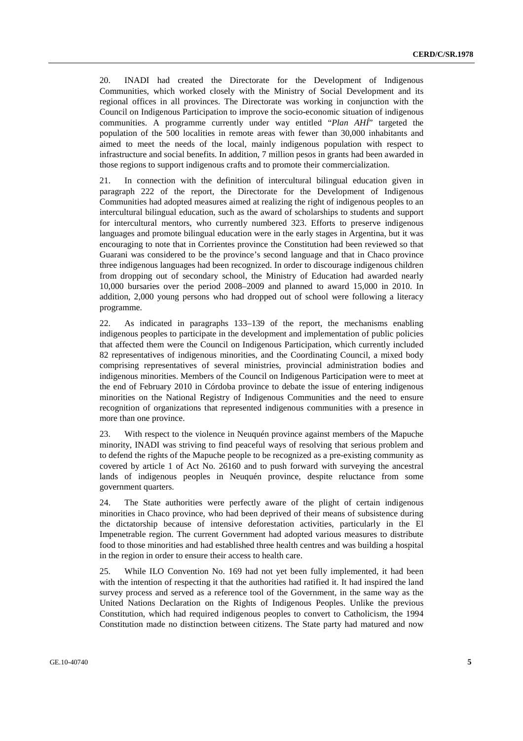20. INADI had created the Directorate for the Development of Indigenous Communities, which worked closely with the Ministry of Social Development and its regional offices in all provinces. The Directorate was working in conjunction with the Council on Indigenous Participation to improve the socio-economic situation of indigenous communities. A programme currently under way entitled "*Plan AHÍ*" targeted the population of the 500 localities in remote areas with fewer than 30,000 inhabitants and aimed to meet the needs of the local, mainly indigenous population with respect to infrastructure and social benefits. In addition, 7 million pesos in grants had been awarded in those regions to support indigenous crafts and to promote their commercialization.

21. In connection with the definition of intercultural bilingual education given in paragraph 222 of the report, the Directorate for the Development of Indigenous Communities had adopted measures aimed at realizing the right of indigenous peoples to an intercultural bilingual education, such as the award of scholarships to students and support for intercultural mentors, who currently numbered 323. Efforts to preserve indigenous languages and promote bilingual education were in the early stages in Argentina, but it was encouraging to note that in Corrientes province the Constitution had been reviewed so that Guarani was considered to be the province's second language and that in Chaco province three indigenous languages had been recognized. In order to discourage indigenous children from dropping out of secondary school, the Ministry of Education had awarded nearly 10,000 bursaries over the period 2008–2009 and planned to award 15,000 in 2010. In addition, 2,000 young persons who had dropped out of school were following a literacy programme.

22. As indicated in paragraphs 133–139 of the report, the mechanisms enabling indigenous peoples to participate in the development and implementation of public policies that affected them were the Council on Indigenous Participation, which currently included 82 representatives of indigenous minorities, and the Coordinating Council, a mixed body comprising representatives of several ministries, provincial administration bodies and indigenous minorities. Members of the Council on Indigenous Participation were to meet at the end of February 2010 in Córdoba province to debate the issue of entering indigenous minorities on the National Registry of Indigenous Communities and the need to ensure recognition of organizations that represented indigenous communities with a presence in more than one province.

23. With respect to the violence in Neuquén province against members of the Mapuche minority, INADI was striving to find peaceful ways of resolving that serious problem and to defend the rights of the Mapuche people to be recognized as a pre-existing community as covered by article 1 of Act No. 26160 and to push forward with surveying the ancestral lands of indigenous peoples in Neuquén province, despite reluctance from some government quarters.

24. The State authorities were perfectly aware of the plight of certain indigenous minorities in Chaco province, who had been deprived of their means of subsistence during the dictatorship because of intensive deforestation activities, particularly in the El Impenetrable region. The current Government had adopted various measures to distribute food to those minorities and had established three health centres and was building a hospital in the region in order to ensure their access to health care.

25. While ILO Convention No. 169 had not yet been fully implemented, it had been with the intention of respecting it that the authorities had ratified it. It had inspired the land survey process and served as a reference tool of the Government, in the same way as the United Nations Declaration on the Rights of Indigenous Peoples. Unlike the previous Constitution, which had required indigenous peoples to convert to Catholicism, the 1994 Constitution made no distinction between citizens. The State party had matured and now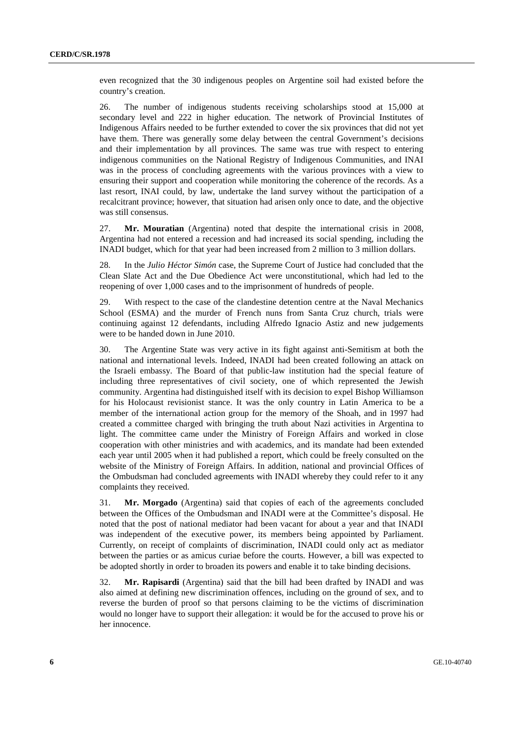even recognized that the 30 indigenous peoples on Argentine soil had existed before the country's creation.

26. The number of indigenous students receiving scholarships stood at 15,000 at secondary level and 222 in higher education. The network of Provincial Institutes of Indigenous Affairs needed to be further extended to cover the six provinces that did not yet have them. There was generally some delay between the central Government's decisions and their implementation by all provinces. The same was true with respect to entering indigenous communities on the National Registry of Indigenous Communities, and INAI was in the process of concluding agreements with the various provinces with a view to ensuring their support and cooperation while monitoring the coherence of the records. As a last resort, INAI could, by law, undertake the land survey without the participation of a recalcitrant province; however, that situation had arisen only once to date, and the objective was still consensus.

27. **Mr. Mouratian** (Argentina) noted that despite the international crisis in 2008, Argentina had not entered a recession and had increased its social spending, including the INADI budget, which for that year had been increased from 2 million to 3 million dollars.

28. In the *Julio Héctor Simón* case, the Supreme Court of Justice had concluded that the Clean Slate Act and the Due Obedience Act were unconstitutional, which had led to the reopening of over 1,000 cases and to the imprisonment of hundreds of people.

29. With respect to the case of the clandestine detention centre at the Naval Mechanics School (ESMA) and the murder of French nuns from Santa Cruz church, trials were continuing against 12 defendants, including Alfredo Ignacio Astiz and new judgements were to be handed down in June 2010.

30. The Argentine State was very active in its fight against anti-Semitism at both the national and international levels. Indeed, INADI had been created following an attack on the Israeli embassy. The Board of that public-law institution had the special feature of including three representatives of civil society, one of which represented the Jewish community. Argentina had distinguished itself with its decision to expel Bishop Williamson for his Holocaust revisionist stance. It was the only country in Latin America to be a member of the international action group for the memory of the Shoah, and in 1997 had created a committee charged with bringing the truth about Nazi activities in Argentina to light. The committee came under the Ministry of Foreign Affairs and worked in close cooperation with other ministries and with academics, and its mandate had been extended each year until 2005 when it had published a report, which could be freely consulted on the website of the Ministry of Foreign Affairs. In addition, national and provincial Offices of the Ombudsman had concluded agreements with INADI whereby they could refer to it any complaints they received.

31. **Mr. Morgado** (Argentina) said that copies of each of the agreements concluded between the Offices of the Ombudsman and INADI were at the Committee's disposal. He noted that the post of national mediator had been vacant for about a year and that INADI was independent of the executive power, its members being appointed by Parliament. Currently, on receipt of complaints of discrimination, INADI could only act as mediator between the parties or as amicus curiae before the courts. However, a bill was expected to be adopted shortly in order to broaden its powers and enable it to take binding decisions.

32. **Mr. Rapisardi** (Argentina) said that the bill had been drafted by INADI and was also aimed at defining new discrimination offences, including on the ground of sex, and to reverse the burden of proof so that persons claiming to be the victims of discrimination would no longer have to support their allegation: it would be for the accused to prove his or her innocence.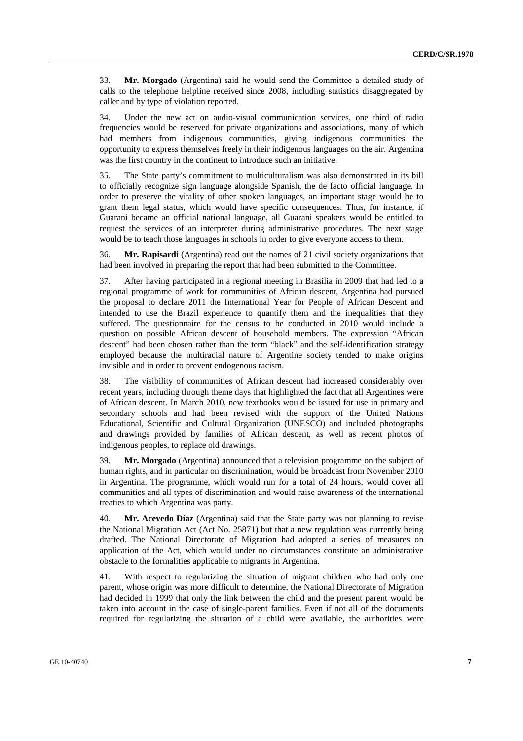33. **Mr. Morgado** (Argentina) said he would send the Committee a detailed study of calls to the telephone helpline received since 2008, including statistics disaggregated by caller and by type of violation reported.

34. Under the new act on audio-visual communication services, one third of radio frequencies would be reserved for private organizations and associations, many of which had members from indigenous communities, giving indigenous communities the opportunity to express themselves freely in their indigenous languages on the air. Argentina was the first country in the continent to introduce such an initiative.

35. The State party's commitment to multiculturalism was also demonstrated in its bill to officially recognize sign language alongside Spanish, the de facto official language. In order to preserve the vitality of other spoken languages, an important stage would be to grant them legal status, which would have specific consequences. Thus, for instance, if Guarani became an official national language, all Guarani speakers would be entitled to request the services of an interpreter during administrative procedures. The next stage would be to teach those languages in schools in order to give everyone access to them.

36. **Mr. Rapisardi** (Argentina) read out the names of 21 civil society organizations that had been involved in preparing the report that had been submitted to the Committee.

37. After having participated in a regional meeting in Brasilia in 2009 that had led to a regional programme of work for communities of African descent, Argentina had pursued the proposal to declare 2011 the International Year for People of African Descent and intended to use the Brazil experience to quantify them and the inequalities that they suffered. The questionnaire for the census to be conducted in 2010 would include a question on possible African descent of household members. The expression "African descent" had been chosen rather than the term "black" and the self-identification strategy employed because the multiracial nature of Argentine society tended to make origins invisible and in order to prevent endogenous racism.

38. The visibility of communities of African descent had increased considerably over recent years, including through theme days that highlighted the fact that all Argentines were of African descent. In March 2010, new textbooks would be issued for use in primary and secondary schools and had been revised with the support of the United Nations Educational, Scientific and Cultural Organization (UNESCO) and included photographs and drawings provided by families of African descent, as well as recent photos of indigenous peoples, to replace old drawings.

39. **Mr. Morgado** (Argentina) announced that a television programme on the subject of human rights, and in particular on discrimination, would be broadcast from November 2010 in Argentina. The programme, which would run for a total of 24 hours, would cover all communities and all types of discrimination and would raise awareness of the international treaties to which Argentina was party.

40. **Mr. Acevedo Díaz** (Argentina) said that the State party was not planning to revise the National Migration Act (Act No. 25871) but that a new regulation was currently being drafted. The National Directorate of Migration had adopted a series of measures on application of the Act, which would under no circumstances constitute an administrative obstacle to the formalities applicable to migrants in Argentina.

41. With respect to regularizing the situation of migrant children who had only one parent, whose origin was more difficult to determine, the National Directorate of Migration had decided in 1999 that only the link between the child and the present parent would be taken into account in the case of single-parent families. Even if not all of the documents required for regularizing the situation of a child were available, the authorities were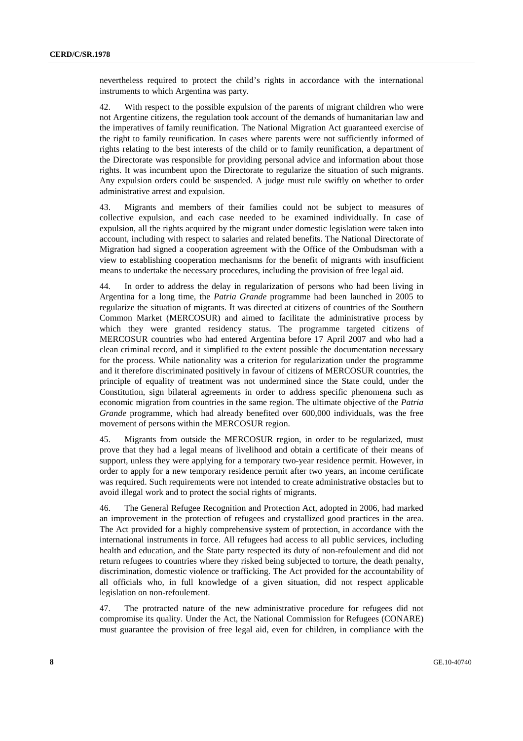nevertheless required to protect the child's rights in accordance with the international instruments to which Argentina was party.

42. With respect to the possible expulsion of the parents of migrant children who were not Argentine citizens, the regulation took account of the demands of humanitarian law and the imperatives of family reunification. The National Migration Act guaranteed exercise of the right to family reunification. In cases where parents were not sufficiently informed of rights relating to the best interests of the child or to family reunification, a department of the Directorate was responsible for providing personal advice and information about those rights. It was incumbent upon the Directorate to regularize the situation of such migrants. Any expulsion orders could be suspended. A judge must rule swiftly on whether to order administrative arrest and expulsion.

43. Migrants and members of their families could not be subject to measures of collective expulsion, and each case needed to be examined individually. In case of expulsion, all the rights acquired by the migrant under domestic legislation were taken into account, including with respect to salaries and related benefits. The National Directorate of Migration had signed a cooperation agreement with the Office of the Ombudsman with a view to establishing cooperation mechanisms for the benefit of migrants with insufficient means to undertake the necessary procedures, including the provision of free legal aid.

44. In order to address the delay in regularization of persons who had been living in Argentina for a long time, the *Patria Grande* programme had been launched in 2005 to regularize the situation of migrants. It was directed at citizens of countries of the Southern Common Market (MERCOSUR) and aimed to facilitate the administrative process by which they were granted residency status. The programme targeted citizens of MERCOSUR countries who had entered Argentina before 17 April 2007 and who had a clean criminal record, and it simplified to the extent possible the documentation necessary for the process. While nationality was a criterion for regularization under the programme and it therefore discriminated positively in favour of citizens of MERCOSUR countries, the principle of equality of treatment was not undermined since the State could, under the Constitution, sign bilateral agreements in order to address specific phenomena such as economic migration from countries in the same region. The ultimate objective of the *Patria Grande* programme, which had already benefited over 600,000 individuals, was the free movement of persons within the MERCOSUR region.

45. Migrants from outside the MERCOSUR region, in order to be regularized, must prove that they had a legal means of livelihood and obtain a certificate of their means of support, unless they were applying for a temporary two-year residence permit. However, in order to apply for a new temporary residence permit after two years, an income certificate was required. Such requirements were not intended to create administrative obstacles but to avoid illegal work and to protect the social rights of migrants.

46. The General Refugee Recognition and Protection Act, adopted in 2006, had marked an improvement in the protection of refugees and crystallized good practices in the area. The Act provided for a highly comprehensive system of protection, in accordance with the international instruments in force. All refugees had access to all public services, including health and education, and the State party respected its duty of non-refoulement and did not return refugees to countries where they risked being subjected to torture, the death penalty, discrimination, domestic violence or trafficking. The Act provided for the accountability of all officials who, in full knowledge of a given situation, did not respect applicable legislation on non-refoulement.

47. The protracted nature of the new administrative procedure for refugees did not compromise its quality. Under the Act, the National Commission for Refugees (CONARE) must guarantee the provision of free legal aid, even for children, in compliance with the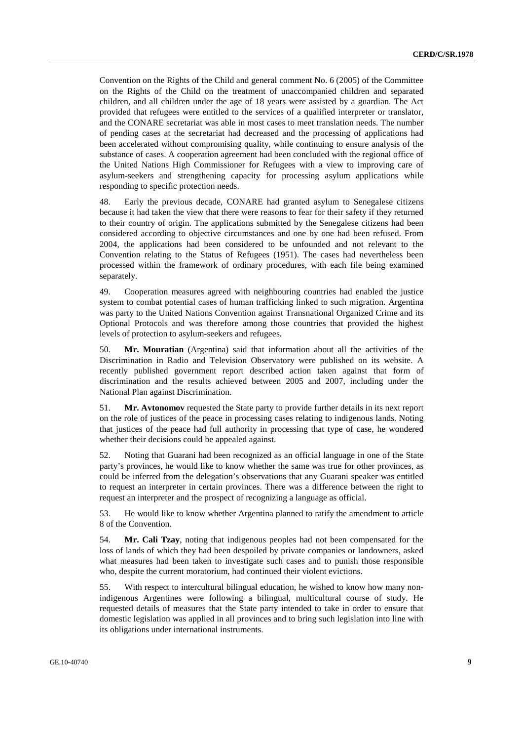Convention on the Rights of the Child and general comment No. 6 (2005) of the Committee on the Rights of the Child on the treatment of unaccompanied children and separated children, and all children under the age of 18 years were assisted by a guardian. The Act provided that refugees were entitled to the services of a qualified interpreter or translator, and the CONARE secretariat was able in most cases to meet translation needs. The number of pending cases at the secretariat had decreased and the processing of applications had been accelerated without compromising quality, while continuing to ensure analysis of the substance of cases. A cooperation agreement had been concluded with the regional office of the United Nations High Commissioner for Refugees with a view to improving care of asylum-seekers and strengthening capacity for processing asylum applications while responding to specific protection needs.

48. Early the previous decade, CONARE had granted asylum to Senegalese citizens because it had taken the view that there were reasons to fear for their safety if they returned to their country of origin. The applications submitted by the Senegalese citizens had been considered according to objective circumstances and one by one had been refused. From 2004, the applications had been considered to be unfounded and not relevant to the Convention relating to the Status of Refugees (1951). The cases had nevertheless been processed within the framework of ordinary procedures, with each file being examined separately.

49. Cooperation measures agreed with neighbouring countries had enabled the justice system to combat potential cases of human trafficking linked to such migration. Argentina was party to the United Nations Convention against Transnational Organized Crime and its Optional Protocols and was therefore among those countries that provided the highest levels of protection to asylum-seekers and refugees.

50. **Mr. Mouratian** (Argentina) said that information about all the activities of the Discrimination in Radio and Television Observatory were published on its website. A recently published government report described action taken against that form of discrimination and the results achieved between 2005 and 2007, including under the National Plan against Discrimination.

51. **Mr. Avtonomov** requested the State party to provide further details in its next report on the role of justices of the peace in processing cases relating to indigenous lands. Noting that justices of the peace had full authority in processing that type of case, he wondered whether their decisions could be appealed against.

52. Noting that Guarani had been recognized as an official language in one of the State party's provinces, he would like to know whether the same was true for other provinces, as could be inferred from the delegation's observations that any Guarani speaker was entitled to request an interpreter in certain provinces. There was a difference between the right to request an interpreter and the prospect of recognizing a language as official.

53. He would like to know whether Argentina planned to ratify the amendment to article 8 of the Convention.

54. **Mr. Cali Tzay**, noting that indigenous peoples had not been compensated for the loss of lands of which they had been despoiled by private companies or landowners, asked what measures had been taken to investigate such cases and to punish those responsible who, despite the current moratorium, had continued their violent evictions.

55. With respect to intercultural bilingual education, he wished to know how many nonindigenous Argentines were following a bilingual, multicultural course of study. He requested details of measures that the State party intended to take in order to ensure that domestic legislation was applied in all provinces and to bring such legislation into line with its obligations under international instruments.